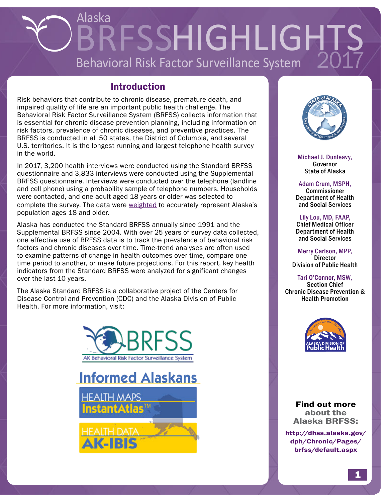# Alaska BRFSSHIGHLIGHTS Behavioral Risk Factor Surveillance System

# Introduction

Risk behaviors that contribute to chronic disease, premature death, and impaired quality of life are an important public health challenge. The Behavioral Risk Factor Surveillance System (BRFSS) collects information that is essential for chronic disease prevention planning, including information on risk factors, prevalence of chronic diseases, and preventive practices. The BRFSS is conducted in all 50 states, the District of Columbia, and several U.S. territories. It is the longest running and largest telephone health survey in the world.

In 2017, 3,200 health interviews were conducted using the Standard BRFSS questionnaire and 3,833 interviews were conducted using the Supplemental BRFSS questionnaire. Interviews were conducted over the telephone (landline and cell phone) using a probability sample of telephone numbers. Households were contacted, and one adult aged 18 years or older was selected to complete the survey. The data were [weighted](http://dhss.alaska.gov/dph/Chronic/Documents/Publications/assets/ChroniclesV5-1.pdf) to accurately represent Alaska's population ages 18 and older.

Alaska has conducted the Standard BRFSS annually since 1991 and the Supplemental BRFSS since 2004. With over 25 years of survey data collected, one effective use of BRFSS data is to track the prevalence of behavioral risk factors and chronic diseases over time. Time-trend analyses are often used to examine patterns of change in health outcomes over time, compare one time period to another, or make future projections. For this report, key health indicators from the Standard BRFSS were analyzed for significant changes over the last 10 years.

The Alaska Standard BRFSS is a collaborative project of the Centers for Disease Control and Prevention (CDC) and the Alaska Division of Public Health. For more information, visit:







Michael J. Dunleavy, **Governor** State of Alaska

Adam Crum, MSPH, Commissioner Department of Health and Social Services

Lily Lou, MD, FAAP, Chief Medical Officer Department of Health and Social Services

Merry Carlson, MPP, **Director** Division of Public Health

Tari O'Connor, MSW, Section Chief Chronic Disease Prevention & Health Promotion



Find out more about the Alaska BRFSS:

[http://dhss.alaska.gov/](http://dhss.alaska.gov/dph/Chronic/Pages/brfss/default.aspx) [dph/Chronic/Pages/](http://dhss.alaska.gov/dph/Chronic/Pages/brfss/default.aspx) [brfss/default.aspx](http://dhss.alaska.gov/dph/Chronic/Pages/brfss/default.aspx)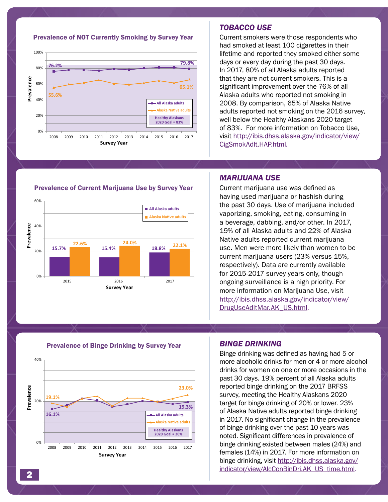

Prevalence of NOT Currently Smoking by Survey Year

#### *TOBACCO USE*

Current smokers were those respondents who had smoked at least 100 cigarettes in their lifetime and reported they smoked either some days or every day during the past 30 days. In 2017, 80% of all Alaska adults reported that they are not current smokers. This is a significant improvement over the 76% of all Alaska adults who reported not smoking in 2008. By comparison, 65% of Alaska Native adults reported not smoking on the 2016 survey, well below the Healthy Alaskans 2020 target of 83%. For more information on Tobacco Use, visit [http://ibis.dhss.alaska.gov/indicator/view/](http://ibis.dhss.alaska.gov/indicator/view/CigSmokAdlt.HAP.html) [CigSmokAdlt.HAP.html](http://ibis.dhss.alaska.gov/indicator/view/CigSmokAdlt.HAP.html).



#### Prevalence of Current Marijuana Use by Survey Year

#### *MARIJUANA USE*

Current marijuana use was defined as having used marijuana or hashish during the past 30 days. Use of marijuana included vaporizing, smoking, eating, consuming in a beverage, dabbing, and/or other. In 2017, 19% of all Alaska adults and 22% of Alaska Native adults reported current marijuana use. Men were more likely than women to be current marijuana users (23% versus 15%, respectively). Data are currently available for 2015-2017 survey years only, though ongoing surveillance is a high priority. For more information on Marijuana Use, visit [http://ibis.dhss.alaska.gov/indicator/view/](http://ibis.dhss.alaska.gov/indicator/view/DrugUseAdltMar.AK_US.html) [DrugUseAdltMar.AK\\_US.html](http://ibis.dhss.alaska.gov/indicator/view/DrugUseAdltMar.AK_US.html).



#### Prevalence of Binge Drinking by Survey Year

#### *BINGE DRINKING*

Binge drinking was defined as having had 5 or more alcoholic drinks for men or 4 or more alcohol drinks for women on one or more occasions in the past 30 days. 19% percent of all Alaska adults reported binge drinking on the 2017 BRFSS survey, meeting the Healthy Alaskans 2020 target for binge drinking of 20% or lower. 23% of Alaska Native adults reported binge drinking in 2017. No significant change in the prevalence of binge drinking over the past 10 years was noted. Significant differences in prevalence of binge drinking existed between males (24%) and females (14%) in 2017. For more information on binge drinking, visit [http://ibis.dhss.alaska.gov/](http://ibis.dhss.alaska.gov/indicator/view/AlcConBinDri.AK_US_time.html) [indicator/view/AlcConBinDri.AK\\_US\\_time.html.](http://ibis.dhss.alaska.gov/indicator/view/AlcConBinDri.AK_US_time.html)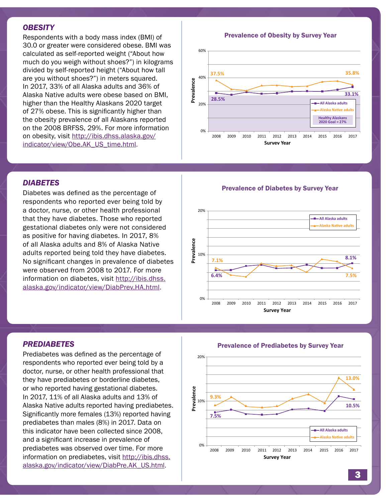#### *OBESITY*

Respondents with a body mass index (BMI) of 30.0 or greater were considered obese. BMI was calculated as self-reported weight ("About how much do you weigh without shoes?") in kilograms divided by self-reported height ("About how tall are you without shoes?") in meters squared. In 2017, 33% of all Alaska adults and 36% of Alaska Native adults were obese based on BMI, higher than the Healthy Alaskans 2020 target of 27% obese. This is significantly higher than the obesity prevalence of all Alaskans reported on the 2008 BRFSS, 29%. For more information on obesity, visit [http://ibis.dhss.alaska.gov/](http://ibis.dhss.alaska.gov/indicator/view/Obe.AK_US_time.html) [indicator/view/Obe.AK\\_US\\_time.html.](http://ibis.dhss.alaska.gov/indicator/view/Obe.AK_US_time.html)

Prevalence of Obesity by Survey Year **Prevalence of Obesity by Survey Year**



# *DIABETES*

Diabetes was defined as the percentage of respondents who reported ever being told by a doctor, nurse, or other health professional that they have diabetes. Those who reported gestational diabetes only were not considered as positive for having diabetes. In 2017, 8% of all Alaska adults and 8% of Alaska Native adults reported being told they have diabetes. No significant changes in prevalence of diabetes were observed from 2008 to 2017. For more information on diabetes, visit [http://ibis.dhss.](http://ibis.dhss.alaska.gov/indicator/view/DiabPrev.HA.html) [alaska.gov/indicator/view/DiabPrev.HA.html](http://ibis.dhss.alaska.gov/indicator/view/DiabPrev.HA.html).

Prevalence of Diabetes by Survey Year **Prevalence of Diabetes by Survey Year**



### *PREDIABETES*

Prediabetes was defined as the percentage of respondents who reported ever being told by a doctor, nurse, or other health professional that they have prediabetes or borderline diabetes, or who reported having gestational diabetes. In 2017, 11% of all Alaska adults and 13% of Alaska Native adults reported having prediabetes. Significantly more females (13%) reported having prediabetes than males (8%) in 2017. Data on this indicator have been collected since 2008, and a significant increase in prevalence of prediabetes was observed over time. For more information on prediabetes, visit [http://ibis.dhss.](http://ibis.dhss.alaska.gov/indicator/view/DiabPre.AK_US.html) [alaska.gov/indicator/view/DiabPre.AK\\_US.html.](http://ibis.dhss.alaska.gov/indicator/view/DiabPre.AK_US.html)

**7.5% 10.5% 9.3% 13.0%** 0% Prevalence<br><sup>10%</sup> 20% 2008 2009 2010 2011 2012 2013 2014 2015 2016 2017 **Prevalence Survey Year All Alaska adults Alaska Native adults**

#### Prevalence of Prediabetes by Survey Year